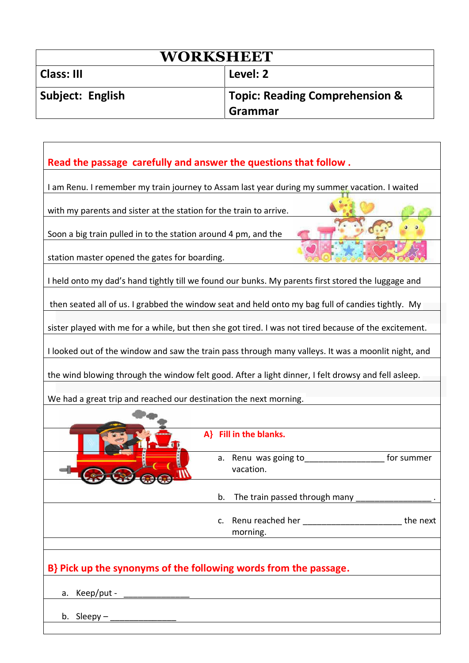| <b>WORKSHEET</b>  |                                                      |  |  |  |
|-------------------|------------------------------------------------------|--|--|--|
| <b>Class: III</b> | Level: 2                                             |  |  |  |
| Subject: English  | <b>Topic: Reading Comprehension &amp;</b><br>Grammar |  |  |  |

## **Read the passage carefully and answer the questions that follow .** I am Renu. I remember my train journey to Assam last year during my summer vacation. I waited with my parents and sister at the station for the train to arrive. Soon a big train pulled in to the station around 4 pm, and the station master opened the gates for boarding. I held onto my dad's hand tightly till we found our bunks. My parents first stored the luggage and then seated all of us. I grabbed the window seat and held onto my bag full of candies tightly. My sister played with me for a while, but then she got tired. I was not tired because of the excitement. I looked out of the window and saw the train pass through many valleys. It was a moonlit night, and the wind blowing through the window felt good. After a light dinner, I felt drowsy and fell asleep. We had a great trip and reached our destination the next morning.  **A} Fill in the blanks.**  a. Renu was going to<br>
<u>\_\_\_\_\_\_\_\_\_\_\_\_\_\_\_\_\_\_\_\_\_\_\_\_\_\_\_\_\_\_\_</u> for summer

|                                                                  | a. Renu was going to<br>vacation. | for summer |
|------------------------------------------------------------------|-----------------------------------|------------|
|                                                                  |                                   |            |
|                                                                  | morning.                          | the next   |
| B} Pick up the synonyms of the following words from the passage. |                                   |            |
| a. Keep/put -                                                    |                                   |            |
| b. Sleepy $-$                                                    |                                   |            |
|                                                                  |                                   |            |